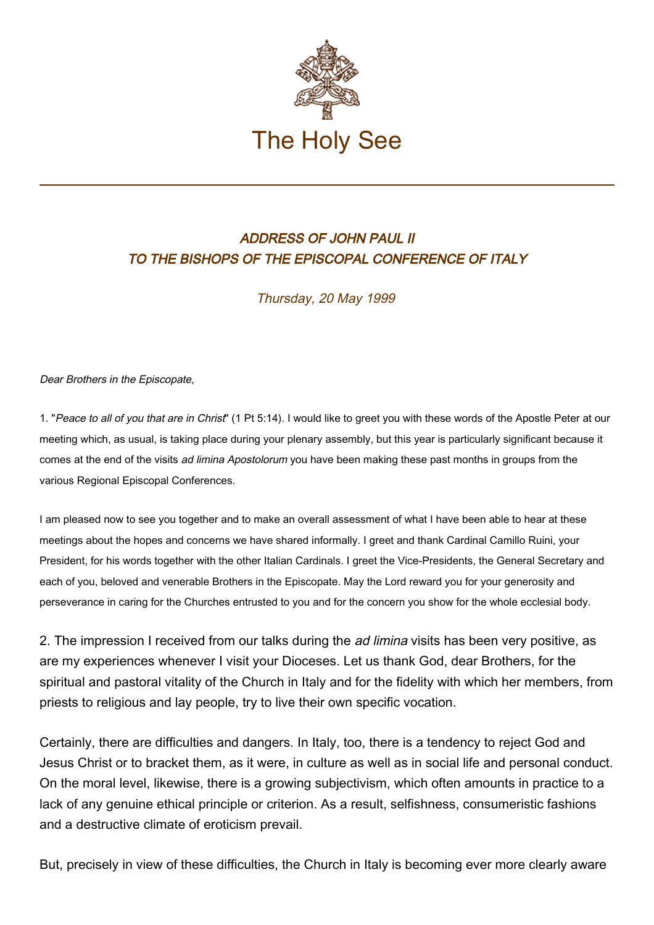

## ADDRESS OF JOHN PAUL II TO THE BISHOPS OF THE EPISCOPAL CONFERENCE OF ITALY

Thursday, 20 May 1999

## Dear Brothers in the Episcopate,

1. "Peace to all of you that are in Christ" (1 Pt 5:14). I would like to greet you with these words of the Apostle Peter at our meeting which, as usual, is taking place during your plenary assembly, but this year is particularly significant because it comes at the end of the visits ad limina Apostolorum you have been making these past months in groups from the various Regional Episcopal Conferences.

I am pleased now to see you together and to make an overall assessment of what I have been able to hear at these meetings about the hopes and concerns we have shared informally. I greet and thank Cardinal Camillo Ruini, your President, for his words together with the other Italian Cardinals. I greet the Vice-Presidents, the General Secretary and each of you, beloved and venerable Brothers in the Episcopate. May the Lord reward you for your generosity and perseverance in caring for the Churches entrusted to you and for the concern you show for the whole ecclesial body.

2. The impression I received from our talks during the *ad limina* visits has been very positive, as are my experiences whenever I visit your Dioceses. Let us thank God, dear Brothers, for the spiritual and pastoral vitality of the Church in Italy and for the fidelity with which her members, from priests to religious and lay people, try to live their own specific vocation.

Certainly, there are difficulties and dangers. In Italy, too, there is a tendency to reject God and Jesus Christ or to bracket them, as it were, in culture as well as in social life and personal conduct. On the moral level, likewise, there is a growing subjectivism, which often amounts in practice to a lack of any genuine ethical principle or criterion. As a result, selfishness, consumeristic fashions and a destructive climate of eroticism prevail.

But, precisely in view of these difficulties, the Church in Italy is becoming ever more clearly aware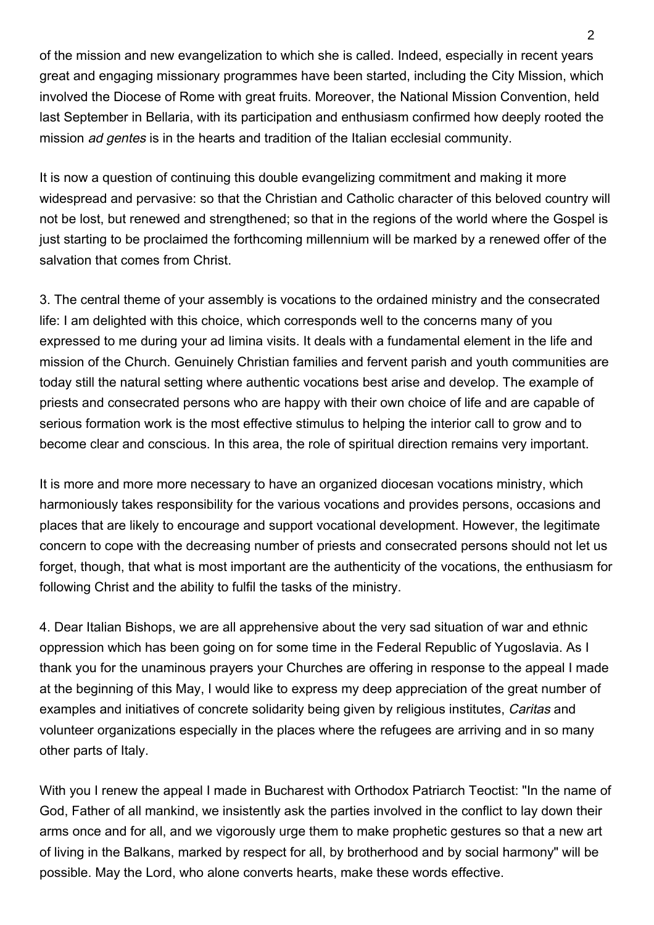of the mission and new evangelization to which she is called. Indeed, especially in recent years great and engaging missionary programmes have been started, including the City Mission, which involved the Diocese of Rome with great fruits. Moreover, the National Mission Convention, held last September in Bellaria, with its participation and enthusiasm confirmed how deeply rooted the mission ad gentes is in the hearts and tradition of the Italian ecclesial community.

It is now a question of continuing this double evangelizing commitment and making it more widespread and pervasive: so that the Christian and Catholic character of this beloved country will not be lost, but renewed and strengthened; so that in the regions of the world where the Gospel is just starting to be proclaimed the forthcoming millennium will be marked by a renewed offer of the salvation that comes from Christ.

3. The central theme of your assembly is vocations to the ordained ministry and the consecrated life: I am delighted with this choice, which corresponds well to the concerns many of you expressed to me during your ad limina visits. It deals with a fundamental element in the life and mission of the Church. Genuinely Christian families and fervent parish and youth communities are today still the natural setting where authentic vocations best arise and develop. The example of priests and consecrated persons who are happy with their own choice of life and are capable of serious formation work is the most effective stimulus to helping the interior call to grow and to become clear and conscious. In this area, the role of spiritual direction remains very important.

It is more and more more necessary to have an organized diocesan vocations ministry, which harmoniously takes responsibility for the various vocations and provides persons, occasions and places that are likely to encourage and support vocational development. However, the legitimate concern to cope with the decreasing number of priests and consecrated persons should not let us forget, though, that what is most important are the authenticity of the vocations, the enthusiasm for following Christ and the ability to fulfil the tasks of the ministry.

4. Dear Italian Bishops, we are all apprehensive about the very sad situation of war and ethnic oppression which has been going on for some time in the Federal Republic of Yugoslavia. As I thank you for the unaminous prayers your Churches are offering in response to the appeal I made at the beginning of this May, I would like to express my deep appreciation of the great number of examples and initiatives of concrete solidarity being given by religious institutes, Caritas and volunteer organizations especially in the places where the refugees are arriving and in so many other parts of Italy.

With you I renew the appeal I made in Bucharest with Orthodox Patriarch Teoctist: "In the name of God, Father of all mankind, we insistently ask the parties involved in the conflict to lay down their arms once and for all, and we vigorously urge them to make prophetic gestures so that a new art of living in the Balkans, marked by respect for all, by brotherhood and by social harmony" will be possible. May the Lord, who alone converts hearts, make these words effective.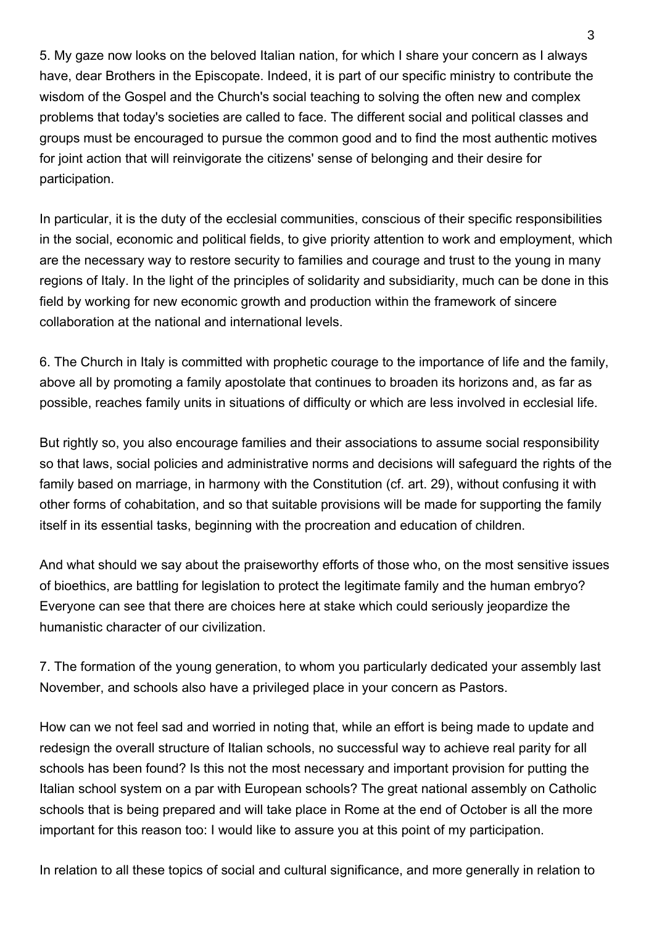5. My gaze now looks on the beloved Italian nation, for which I share your concern as I always have, dear Brothers in the Episcopate. Indeed, it is part of our specific ministry to contribute the wisdom of the Gospel and the Church's social teaching to solving the often new and complex problems that today's societies are called to face. The different social and political classes and groups must be encouraged to pursue the common good and to find the most authentic motives for joint action that will reinvigorate the citizens' sense of belonging and their desire for participation.

In particular, it is the duty of the ecclesial communities, conscious of their specific responsibilities in the social, economic and political fields, to give priority attention to work and employment, which are the necessary way to restore security to families and courage and trust to the young in many regions of Italy. In the light of the principles of solidarity and subsidiarity, much can be done in this field by working for new economic growth and production within the framework of sincere collaboration at the national and international levels.

6. The Church in Italy is committed with prophetic courage to the importance of life and the family, above all by promoting a family apostolate that continues to broaden its horizons and, as far as possible, reaches family units in situations of difficulty or which are less involved in ecclesial life.

But rightly so, you also encourage families and their associations to assume social responsibility so that laws, social policies and administrative norms and decisions will safeguard the rights of the family based on marriage, in harmony with the Constitution (cf. art. 29), without confusing it with other forms of cohabitation, and so that suitable provisions will be made for supporting the family itself in its essential tasks, beginning with the procreation and education of children.

And what should we say about the praiseworthy efforts of those who, on the most sensitive issues of bioethics, are battling for legislation to protect the legitimate family and the human embryo? Everyone can see that there are choices here at stake which could seriously jeopardize the humanistic character of our civilization.

7. The formation of the young generation, to whom you particularly dedicated your assembly last November, and schools also have a privileged place in your concern as Pastors.

How can we not feel sad and worried in noting that, while an effort is being made to update and redesign the overall structure of Italian schools, no successful way to achieve real parity for all schools has been found? Is this not the most necessary and important provision for putting the Italian school system on a par with European schools? The great national assembly on Catholic schools that is being prepared and will take place in Rome at the end of October is all the more important for this reason too: I would like to assure you at this point of my participation.

In relation to all these topics of social and cultural significance, and more generally in relation to